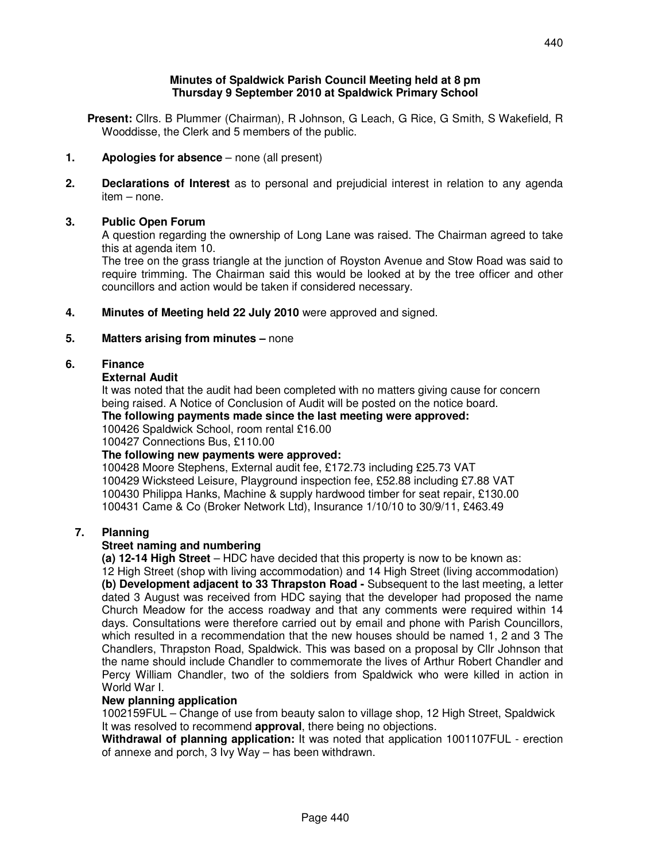**Present:** Cllrs. B Plummer (Chairman), R Johnson, G Leach, G Rice, G Smith, S Wakefield, R Wooddisse, the Clerk and 5 members of the public.

**Thursday 9 September 2010 at Spaldwick Primary School** 

- **1. Apologies for absence**  none (all present)
- **2. Declarations of Interest** as to personal and prejudicial interest in relation to any agenda item – none.

## **3. Public Open Forum**

A question regarding the ownership of Long Lane was raised. The Chairman agreed to take this at agenda item 10.

 The tree on the grass triangle at the junction of Royston Avenue and Stow Road was said to require trimming. The Chairman said this would be looked at by the tree officer and other councillors and action would be taken if considered necessary.

**4. Minutes of Meeting held 22 July 2010** were approved and signed.

### **5. Matters arising from minutes –** none

### **6. Finance**

### **External Audit**

 It was noted that the audit had been completed with no matters giving cause for concern being raised. A Notice of Conclusion of Audit will be posted on the notice board.

 **The following payments made since the last meeting were approved:** 

100426 Spaldwick School, room rental £16.00

100427 Connections Bus, £110.00

#### **The following new payments were approved:**

100428 Moore Stephens, External audit fee, £172.73 including £25.73 VAT 100429 Wicksteed Leisure, Playground inspection fee, £52.88 including £7.88 VAT 100430 Philippa Hanks, Machine & supply hardwood timber for seat repair, £130.00 100431 Came & Co (Broker Network Ltd), Insurance 1/10/10 to 30/9/11, £463.49

#### **7. Planning**

#### **Street naming and numbering**

 **(a) 12-14 High Street** – HDC have decided that this property is now to be known as:

 12 High Street (shop with living accommodation) and 14 High Street (living accommodation) **(b) Development adjacent to 33 Thrapston Road -** Subsequent to the last meeting, a letter dated 3 August was received from HDC saying that the developer had proposed the name Church Meadow for the access roadway and that any comments were required within 14 days. Consultations were therefore carried out by email and phone with Parish Councillors, which resulted in a recommendation that the new houses should be named 1, 2 and 3 The Chandlers, Thrapston Road, Spaldwick. This was based on a proposal by Cllr Johnson that the name should include Chandler to commemorate the lives of Arthur Robert Chandler and Percy William Chandler, two of the soldiers from Spaldwick who were killed in action in World War I.

### **New planning application**

1002159FUL – Change of use from beauty salon to village shop, 12 High Street, Spaldwick It was resolved to recommend **approval**, there being no objections.

 **Withdrawal of planning application:** It was noted that application 1001107FUL - erection of annexe and porch, 3 Ivy Way – has been withdrawn.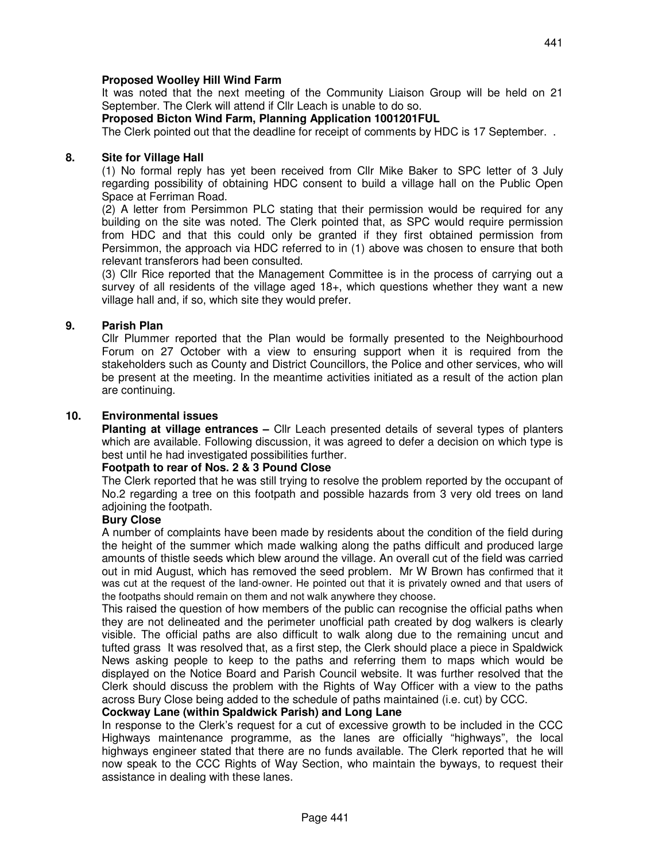# **Proposed Woolley Hill Wind Farm**

It was noted that the next meeting of the Community Liaison Group will be held on 21 September. The Clerk will attend if Cllr Leach is unable to do so.

# **Proposed Bicton Wind Farm, Planning Application 1001201FUL**

The Clerk pointed out that the deadline for receipt of comments by HDC is 17 September. .

### **8. Site for Village Hall**

(1) No formal reply has yet been received from Cllr Mike Baker to SPC letter of 3 July regarding possibility of obtaining HDC consent to build a village hall on the Public Open Space at Ferriman Road.

 (2) A letter from Persimmon PLC stating that their permission would be required for any building on the site was noted. The Clerk pointed that, as SPC would require permission from HDC and that this could only be granted if they first obtained permission from Persimmon, the approach via HDC referred to in (1) above was chosen to ensure that both relevant transferors had been consulted.

 (3) Cllr Rice reported that the Management Committee is in the process of carrying out a survey of all residents of the village aged  $18<sub>+</sub>$ , which questions whether they want a new village hall and, if so, which site they would prefer.

### **9. Parish Plan**

Cllr Plummer reported that the Plan would be formally presented to the Neighbourhood Forum on 27 October with a view to ensuring support when it is required from the stakeholders such as County and District Councillors, the Police and other services, who will be present at the meeting. In the meantime activities initiated as a result of the action plan are continuing.

### **10. Environmental issues**

**Planting at village entrances –** Cllr Leach presented details of several types of planters which are available. Following discussion, it was agreed to defer a decision on which type is best until he had investigated possibilities further.

#### **Footpath to rear of Nos. 2 & 3 Pound Close**

The Clerk reported that he was still trying to resolve the problem reported by the occupant of No.2 regarding a tree on this footpath and possible hazards from 3 very old trees on land adjoining the footpath.

### **Bury Close**

A number of complaints have been made by residents about the condition of the field during the height of the summer which made walking along the paths difficult and produced large amounts of thistle seeds which blew around the village. An overall cut of the field was carried out in mid August, which has removed the seed problem. Mr W Brown has confirmed that it was cut at the request of the land-owner. He pointed out that it is privately owned and that users of the footpaths should remain on them and not walk anywhere they choose.

 This raised the question of how members of the public can recognise the official paths when they are not delineated and the perimeter unofficial path created by dog walkers is clearly visible. The official paths are also difficult to walk along due to the remaining uncut and tufted grass It was resolved that, as a first step, the Clerk should place a piece in Spaldwick News asking people to keep to the paths and referring them to maps which would be displayed on the Notice Board and Parish Council website. It was further resolved that the Clerk should discuss the problem with the Rights of Way Officer with a view to the paths across Bury Close being added to the schedule of paths maintained (i.e. cut) by CCC.

#### **Cockway Lane (within Spaldwick Parish) and Long Lane**

In response to the Clerk's request for a cut of excessive growth to be included in the CCC Highways maintenance programme, as the lanes are officially "highways", the local highways engineer stated that there are no funds available. The Clerk reported that he will now speak to the CCC Rights of Way Section, who maintain the byways, to request their assistance in dealing with these lanes.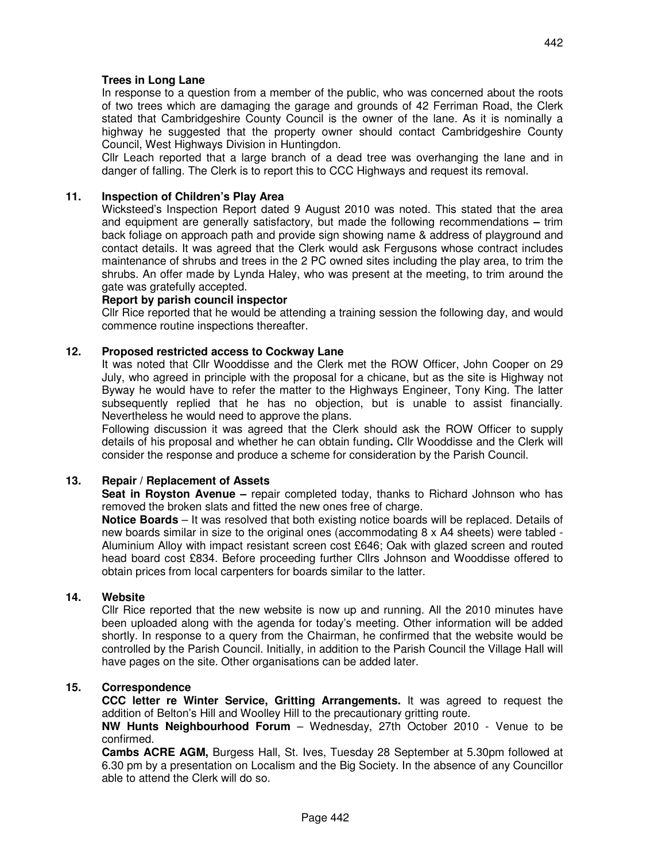## **Trees in Long Lane**

In response to a question from a member of the public, who was concerned about the roots of two trees which are damaging the garage and grounds of 42 Ferriman Road, the Clerk stated that Cambridgeshire County Council is the owner of the lane. As it is nominally a highway he suggested that the property owner should contact Cambridgeshire County Council, West Highways Division in Huntingdon.

 Cllr Leach reported that a large branch of a dead tree was overhanging the lane and in danger of falling. The Clerk is to report this to CCC Highways and request its removal.

### **11. Inspection of Children's Play Area**

 Wicksteed's Inspection Report dated 9 August 2010 was noted. This stated that the area and equipment are generally satisfactory, but made the following recommendations **–** trim back foliage on approach path and provide sign showing name & address of playground and contact details. It was agreed that the Clerk would ask Fergusons whose contract includes maintenance of shrubs and trees in the 2 PC owned sites including the play area, to trim the shrubs. An offer made by Lynda Haley, who was present at the meeting, to trim around the gate was gratefully accepted.

# **Report by parish council inspector**

Cllr Rice reported that he would be attending a training session the following day, and would commence routine inspections thereafter.

#### **12. Proposed restricted access to Cockway Lane**

It was noted that Cllr Wooddisse and the Clerk met the ROW Officer, John Cooper on 29 July, who agreed in principle with the proposal for a chicane, but as the site is Highway not Byway he would have to refer the matter to the Highways Engineer, Tony King. The latter subsequently replied that he has no objection, but is unable to assist financially. Nevertheless he would need to approve the plans.

 Following discussion it was agreed that the Clerk should ask the ROW Officer to supply details of his proposal and whether he can obtain funding**.** Cllr Wooddisse and the Clerk will consider the response and produce a scheme for consideration by the Parish Council.

#### **13. Repair / Replacement of Assets**

 **Seat in Royston Avenue –** repair completed today, thanks to Richard Johnson who has removed the broken slats and fitted the new ones free of charge.

**Notice Boards** – It was resolved that both existing notice boards will be replaced. Details of new boards similar in size to the original ones (accommodating 8 x A4 sheets) were tabled - Aluminium Alloy with impact resistant screen cost £646; Oak with glazed screen and routed head board cost £834. Before proceeding further Cllrs Johnson and Wooddisse offered to obtain prices from local carpenters for boards similar to the latter.

#### **14. Website**

 Cllr Rice reported that the new website is now up and running. All the 2010 minutes have been uploaded along with the agenda for today's meeting. Other information will be added shortly. In response to a query from the Chairman, he confirmed that the website would be controlled by the Parish Council. Initially, in addition to the Parish Council the Village Hall will have pages on the site. Other organisations can be added later.

## **15. Correspondence**

 **CCC letter re Winter Service, Gritting Arrangements.** It was agreed to request the addition of Belton's Hill and Woolley Hill to the precautionary gritting route.

**NW Hunts Neighbourhood Forum** – Wednesday, 27th October 2010 - Venue to be confirmed.

**Cambs ACRE AGM,** Burgess Hall, St. Ives, Tuesday 28 September at 5.30pm followed at 6.30 pm by a presentation on Localism and the Big Society. In the absence of any Councillor able to attend the Clerk will do so.